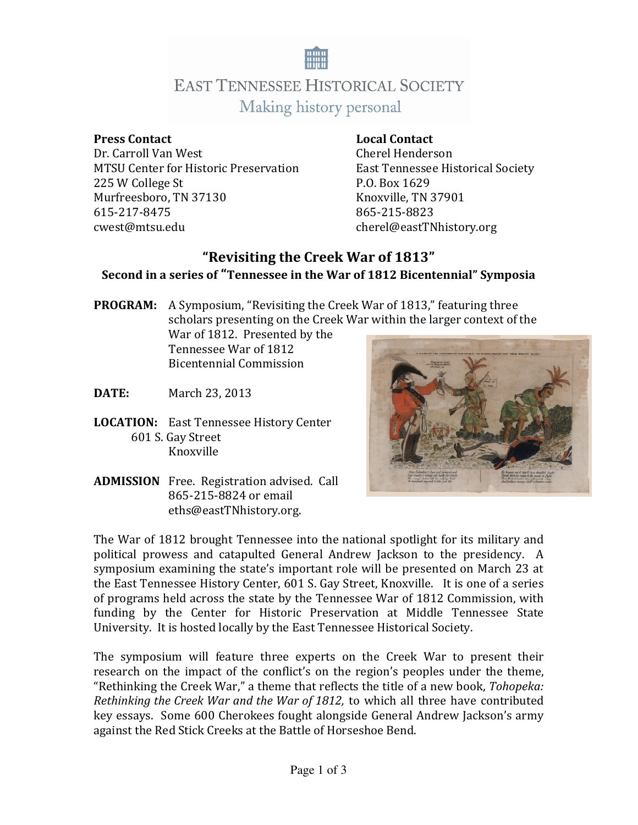

## **EAST TENNESSEE HISTORICAL SOCIETY** Making history personal

### **Press Contact Local Contact Local Contact**

Dr. Carroll Van West Cherel Henderson MTSU Center for Historic Preservation East Tennessee Historical Society 225 W College St P.O. Box 1629 Murfreesboro, TN 37130 615-217-8475 865-215-8823 cwest@mtsu.edu cherel@eastTNhistory.org

### **"Revisiting the Creek War of 1813" Second in a series of "Tennessee in the War of 1812 Bicentennial" Symposia**

**PROGRAM:** A Symposium, "Revisiting the Creek War of 1813," featuring three scholars presenting on the Creek War within the larger context of the War of 1812. Presented by the

Tennessee War of 1812 Bicentennial Commission

- **DATE:** March 23, 2013
- **LOCATION:** East Tennessee History Center 601 S. Gay Street Knoxville



**ADMISSION** Free. Registration advised. Call 865-215-8824 or email eths@eastTNhistory.org.

The War of 1812 brought Tennessee into the national spotlight for its military and political prowess and catapulted General Andrew Jackson to the presidency. A symposium examining the state's important role will be presented on March 23 at the East Tennessee History Center, 601 S. Gay Street, Knoxville. It is one of a series of programs held across the state by the Tennessee War of 1812 Commission, with funding by the Center for Historic Preservation at Middle Tennessee State University. It is hosted locally by the East Tennessee Historical Society.

The symposium will feature three experts on the Creek War to present their research on the impact of the conflict's on the region's peoples under the theme, "Rethinking the Creek War," a theme that reflects the title of a new book, *Tohopeka: Rethinking the Creek War and the War of 1812,* to which all three have contributed key essays. Some 600 Cherokees fought alongside General Andrew Jackson's army against the Red Stick Creeks at the Battle of Horseshoe Bend.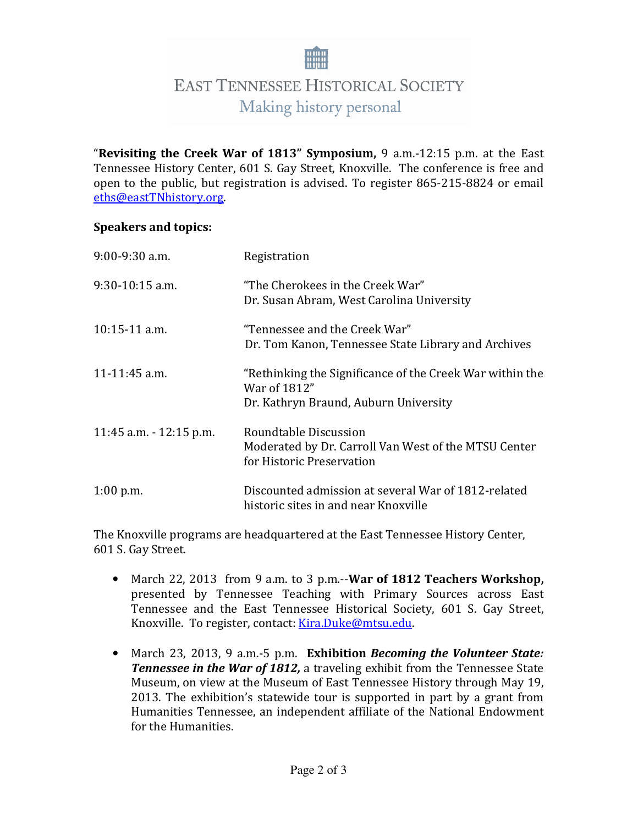# **EAST TENNESSEE HISTORICAL SOCIETY** Making history personal

"**Revisiting the Creek War of 1813" Symposium,** 9 a.m.-12:15 p.m. at the East Tennessee History Center, 601 S. Gay Street, Knoxville. The conference is free and open to the public, but registration is advised. To register 865-215-8824 or email eths@eastTNhistory.org.

### **Speakers and topics:**

| $9:00-9:30$ a.m.         | Registration                                                                                                      |
|--------------------------|-------------------------------------------------------------------------------------------------------------------|
| $9:30-10:15$ a.m.        | "The Cherokees in the Creek War"<br>Dr. Susan Abram, West Carolina University                                     |
| $10:15-11$ a.m.          | "Tennessee and the Creek War"<br>Dr. Tom Kanon, Tennessee State Library and Archives                              |
| 11-11:45 a.m.            | "Rethinking the Significance of the Creek War within the<br>War of 1812"<br>Dr. Kathryn Braund, Auburn University |
| 11:45 a.m. $-12:15$ p.m. | Roundtable Discussion<br>Moderated by Dr. Carroll Van West of the MTSU Center<br>for Historic Preservation        |
| $1:00$ p.m.              | Discounted admission at several War of 1812-related<br>historic sites in and near Knoxville                       |

The Knoxville programs are headquartered at the East Tennessee History Center, 601 S. Gay Street.

- March 22, 2013 from 9 a.m. to 3 p.m.--**War of 1812 Teachers Workshop,** presented by Tennessee Teaching with Primary Sources across East Tennessee and the East Tennessee Historical Society, 601 S. Gay Street, Knoxville. To register, contact: Kira.Duke@mtsu.edu.
- March 23, 2013, 9 a.m.-5 p.m. **Exhibition** *Becoming the Volunteer State: Tennessee in the War of 1812,* a traveling exhibit from the Tennessee State Museum, on view at the Museum of East Tennessee History through May 19, 2013. The exhibition's statewide tour is supported in part by a grant from Humanities Tennessee, an independent affiliate of the National Endowment for the Humanities.